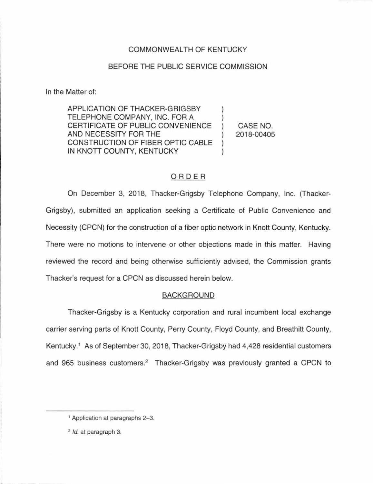## COMMONWEALTH OF KENTUCKY

## BEFORE THE PUBLIC SERVICE COMMISSION

In the Matter of:

APPLICATION OF THACKER-GRIGSBY TELEPHONE COMPANY, INC. FOR A CERTIFICATE OF PUBLIC CONVENIENCE AND NECESSITY FOR THE CONSTRUCTION OF FIBER OPTIC CABLE IN KNOTT COUNTY, KENTUCKY

CASE NO. 2018-00405

# ORDER

On December 3, 2018, Thacker-Grigsby Telephone Company, Inc. (Thacker-Grigsby), submitted an application seeking a Certificate of Public Convenience and Necessity (CPCN) for the construction of a fiber optic network in Knott County, Kentucky. There were no motions to intervene or other objections made in this matter. Having reviewed the record and being otherwise sufficiently advised, the Commission grants Thacker's request for a CPCN as discussed herein below.

## BACKGROUND

Thacker-Grigsby is a Kentucky corporation and rural incumbent local exchange carrier serving parts of Knott County, Perry County, Floyd County, and Breathitt County, Kentucky.<sup>1</sup> As of September 30, 2018, Thacker-Grigsby had 4,428 residential customers and 965 business customers.<sup>2</sup> Thacker-Grigsby was previously granted a CPCN to

<sup>1</sup>Application at paragraphs 2-3.

<sup>2</sup> Id. at paragraph 3.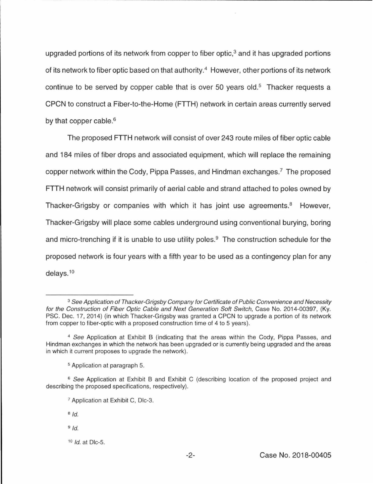upgraded portions of its network from copper to fiber optic, $3$  and it has upgraded portions of its network to fiber optic based on that authority.<sup>4</sup> However, other portions of its network continue to be served by copper cable that is over 50 years old.<sup>5</sup> Thacker requests a CPCN to construct a Fiber-to-the-Home (FTTH) network in certain areas currently served by that copper cable.<sup>6</sup>

The proposed FTTH network will consist of over 243 route miles of fiber optic cable and 184 miles of fiber drops and associated equipment, which will replace the remaining copper network within the Cody, Pippa Passes, and Hindman exchanges.7 The proposed **FTTH** network will consist primarily of aerial cable and strand attached to poles owned by Thacker-Grigsby or companies with which it has joint use agreements.<sup>8</sup> However, Thacker-Grigsby will place some cables underground using conventional burying, boring and micro-trenching if it is unable to use utility poles. $9$  The construction schedule for the proposed network is four years with a fifth year to be used as a contingency plan for any delays. 10

- $9$   $Id.$
- $10$  *Id.* at Dlc-5.

<sup>&</sup>lt;sup>3</sup> See Application of Thacker-Grigsby Company for Certificate of Public Convenience and Necessity for the Construction of Fiber Optic Cable and Next Generation Soft Switch, Case No. 2014-00397, (Ky. PSC. Dec. 17, 2014} (in which Thacker-Grigsby was granted a CPCN to upgrade a portion of its network from copper to fiber-optic with a proposed construction time of 4 to 5 years).

<sup>4</sup>See Application at Exhibit B (indicating that the areas within the Cody, Pippa Passes, and Hindman exchanges in which the network has been upgraded or is currently being upgraded and the areas in which it current proposes to upgrade the network).

s Application at paragraph 5.

<sup>&</sup>lt;sup>6</sup> See Application at Exhibit B and Exhibit C (describing location of the proposed project and describing the proposed specifications, respectively).

<sup>7</sup>Application at Exhibit C, Dlc-3.

 $8 \text{Id}$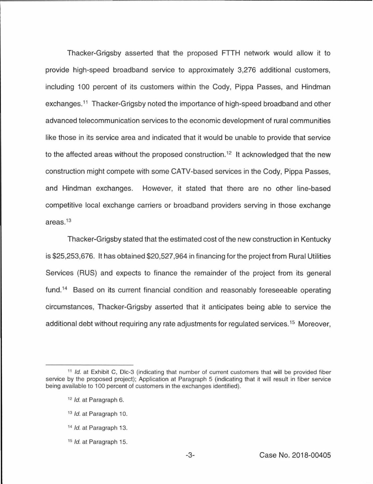Thacker-Grigsby asserted that the proposed FTTH network would allow it to provide high-speed broadband service to approximately 3,276 additional customers, including 100 percent of its customers within the Cody, Pippa Passes, and Hindman exchanges.<sup>11</sup> Thacker-Grigsby noted the importance of high-speed broadband and other advanced telecommunication services to the economic development of rural communities like those in its service area and indicated that it would be unable to provide that service to the affected areas without the proposed construction.<sup>12</sup> It acknowledged that the new construction might compete with some CATV-based services in the Cody, Pippa Passes, and Hindman exchanges. However, it stated that there are no other line-based competitive local exchange carriers or broadband providers serving in those exchange areas. <sup>13</sup>

Thacker-Grigsby stated that the estimated cost of the new construction in Kentucky is \$25,253,676. It has obtained \$20,527,964 in financing for the project from Rural Utilities Services (AUS) and expects to finance the remainder of the project from its general fund.<sup>14</sup> Based on its current financial condition and reasonably foreseeable operating circumstances, Thacker-Grigsby asserted that it anticipates being able to service the additional debt without requiring any rate adjustments for regulated services.<sup>15</sup> Moreover,

<sup>&</sup>lt;sup>11</sup> Id. at Exhibit C, Dlc-3 (indicating that number of current customers that will be provided fiber service by the proposed project); Application at Paragraph 5 (indicating that it will result in fiber service being available to 100 percent of customers in the exchanges identified).

<sup>&</sup>lt;sup>12</sup> Id. at Paragraph 6.

<sup>&</sup>lt;sup>13</sup> Id. at Paragraph 10.

<sup>&</sup>lt;sup>14</sup> *Id.* at Paragraph 13.

<sup>1</sup>s Id. at Paragraph 15.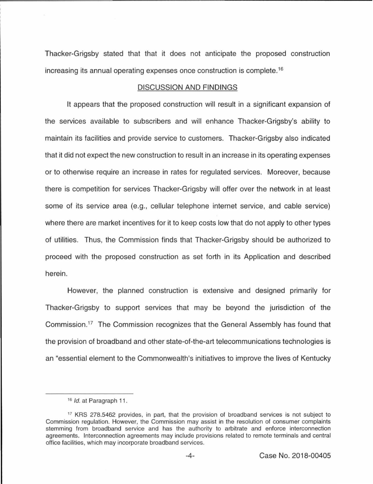Thacker-Grigsby stated that that it does not anticipate the proposed construction increasing its annual operating expenses once construction is complete. <sup>16</sup>

#### DISCUSSION AND FINDINGS

It appears that the proposed construction will result in a significant expansion of the services available to subscribers and will enhance Thacker-Grigsby's ability to maintain its facilities and provide service to customers. Thacker-Grigsby also indicated that it did not expect the new construction to result in an increase in its operating expenses or to otherwise require an increase in rates for regulated services. Moreover, because there is competition for services Thacker-Grigsby will offer over the network in at least some of its service area (e.g., cellular telephone internet service, and cable service) where there are market incentives for it to keep costs low that do not apply to other types of utilities. Thus, the Commission finds that Thacker-Grigsby should be authorized to proceed with the proposed construction as set forth in its Application and described herein.

However, the planned construction is extensive and designed primarily for Thacker-Grigsby to support services that may be beyond the jurisdiction of the Commission.<sup>17</sup> The Commission recognizes that the General Assembly has found that the provision of broadband and other state-of-the-art telecommunications technologies is an "essential element to the Commonwealth's initiatives to improve the lives of Kentucky

<sup>&</sup>lt;sup>16</sup> *Id.* at Paragraph 11.

<sup>17</sup> KRS 278.5462 provides, in part, that the provision of broadband services is not subject to Commission regulation. However, the Commission may assist in the resolution of consumer complaints stemming from broadband service and has the authority to arbitrate and enforce interconnection agreements. Interconnection agreements may include provisions related to remote terminals and central office facilities, which may incorporate broadband services.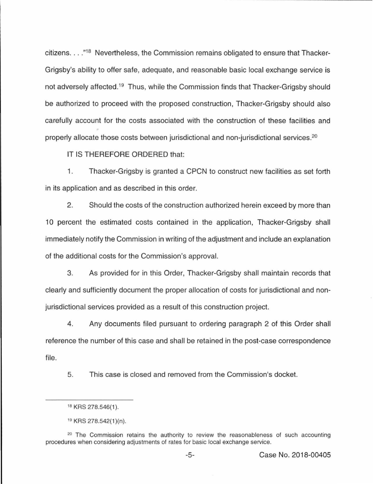citizens.  $\ldots$ ."<sup>18</sup> Nevertheless, the Commission remains obligated to ensure that Thacker-Grigsby's ability to offer safe, adequate, and reasonable basic local exchange service is not adversely affected.<sup>19</sup> Thus, while the Commission finds that Thacker-Grigsby should be authorized to proceed with the proposed construction, Thacker-Grigsby should also carefully account for the costs associated with the construction of these facilities and properly allocate those costs between jurisdictional and non-jurisdictional services.<sup>20</sup>

IT IS THEREFORE ORDERED that:

1. Thacker-Grigsby is granted a CPCN to construct new facilities as set forth in its application and as described in this order.

2. Should the costs of the construction authorized herein exceed by more than 10 percent the estimated costs contained in the application, Thacker-Grigsby shall immediately notify the Commission in writing of the adjustment and include an explanation of the additional costs for the Commission's approval.

3. As provided for in this Order, Thacker-Grigsby shall maintain records that clearly and sufficiently document the proper allocation of costs for jurisdictional and nonjurisdictional services provided as a result of this construction project.

4. Any documents filed pursuant to ordering paragraph 2 of this Order shall reference the number of this case and shall be retained in the post-case correspondence file.

5. This case is closed and removed from the Commission's docket.

<sup>18</sup> KRS 278.546(1).

<sup>19</sup> KRS 278.542(1 )(n).

 $20$  The Commission retains the authority to review the reasonableness of such accounting procedures when considering adjustments of rates for basic local exchange service.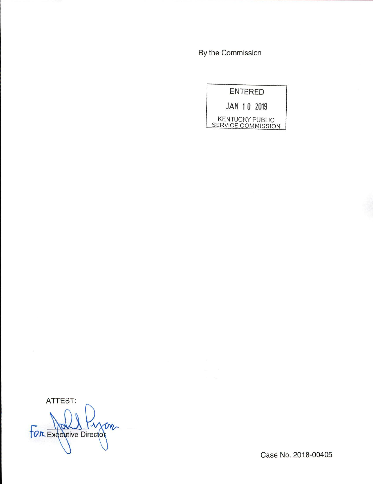By the Commission



ATTEST: **XMC TOR Executive Director** 

Case No. 2018-00405